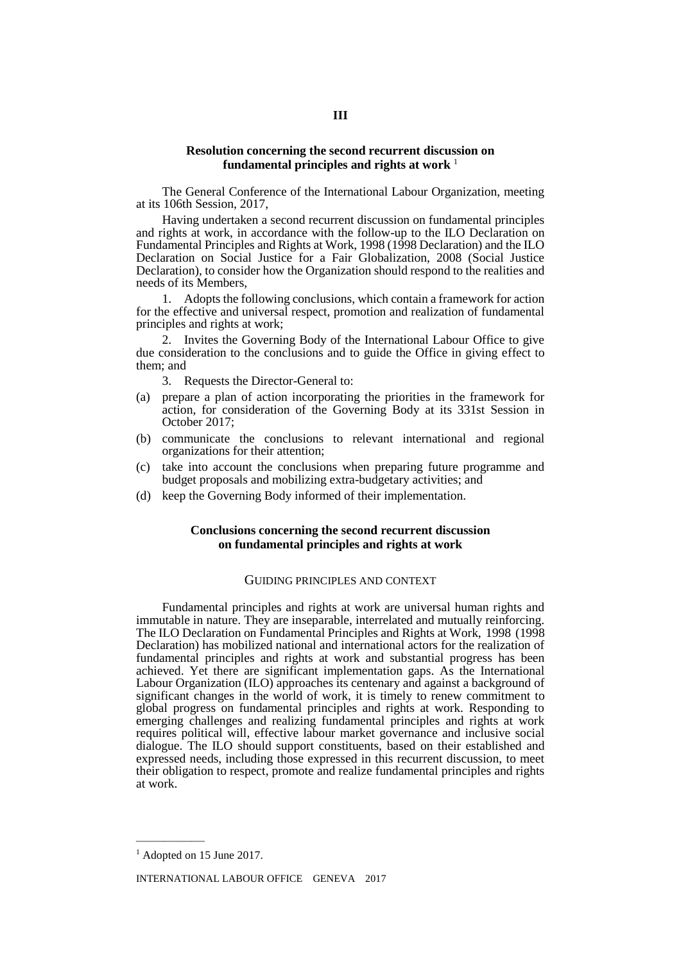#### **Resolution concerning the second recurrent discussion on fundamental principles and rights at work** <sup>1</sup>

The General Conference of the International Labour Organization, meeting at its 106th Session, 2017,

Having undertaken a second recurrent discussion on fundamental principles and rights at work, in accordance with the follow-up to the ILO Declaration on Fundamental Principles and Rights at Work, 1998 (1998 Declaration) and the ILO Declaration on Social Justice for a Fair Globalization, 2008 (Social Justice Declaration), to consider how the Organization should respond to the realities and needs of its Members,

1. Adopts the following conclusions, which contain a framework for action for the effective and universal respect, promotion and realization of fundamental principles and rights at work;

2. Invites the Governing Body of the International Labour Office to give due consideration to the conclusions and to guide the Office in giving effect to them; and

3. Requests the Director-General to:

- (a) prepare a plan of action incorporating the priorities in the framework for action, for consideration of the Governing Body at its 331st Session in October 2017;
- (b) communicate the conclusions to relevant international and regional organizations for their attention;
- (c) take into account the conclusions when preparing future programme and budget proposals and mobilizing extra-budgetary activities; and
- (d) keep the Governing Body informed of their implementation.

### **Conclusions concerning the second recurrent discussion on fundamental principles and rights at work**

#### GUIDING PRINCIPLES AND CONTEXT

Fundamental principles and rights at work are universal human rights and immutable in nature. They are inseparable, interrelated and mutually reinforcing. The ILO Declaration on Fundamental Principles and Rights at Work, 1998 (1998 Declaration) has mobilized national and international actors for the realization of fundamental principles and rights at work and substantial progress has been achieved. Yet there are significant implementation gaps. As the International Labour Organization (ILO) approaches its centenary and against a background of significant changes in the world of work, it is timely to renew commitment to global progress on fundamental principles and rights at work. Responding to emerging challenges and realizing fundamental principles and rights at work requires political will, effective labour market governance and inclusive social dialogue. The ILO should support constituents, based on their established and expressed needs, including those expressed in this recurrent discussion, to meet their obligation to respect, promote and realize fundamental principles and rights at work.

—————

<sup>&</sup>lt;sup>1</sup> Adopted on 15 June 2017.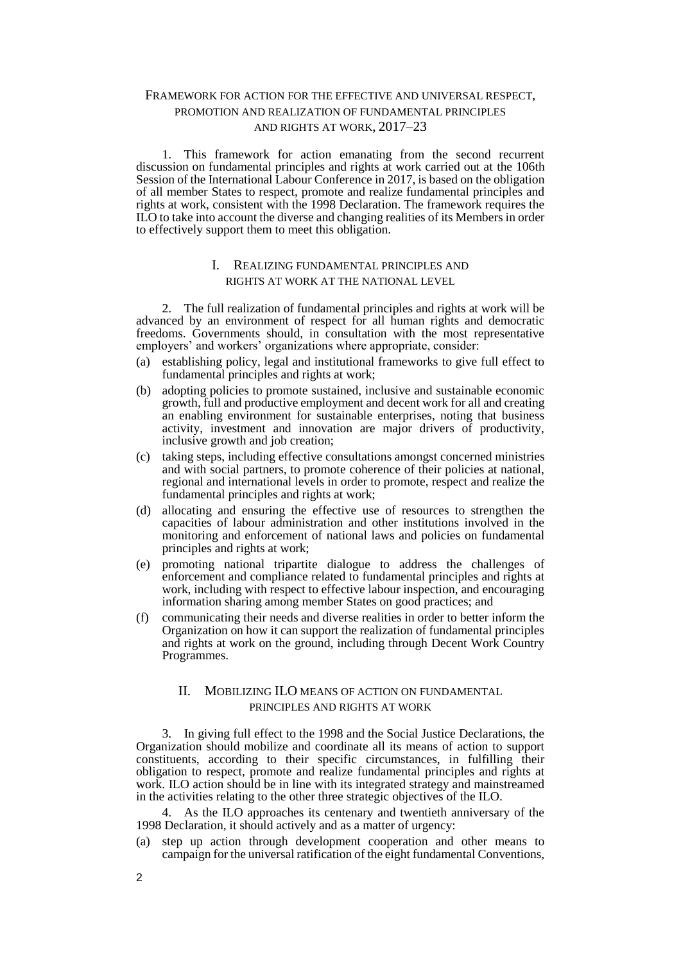# FRAMEWORK FOR ACTION FOR THE EFFECTIVE AND UNIVERSAL RESPECT, PROMOTION AND REALIZATION OF FUNDAMENTAL PRINCIPLES AND RIGHTS AT WORK, 2017–23

1. This framework for action emanating from the second recurrent discussion on fundamental principles and rights at work carried out at the 106th Session of the International Labour Conference in 2017, is based on the obligation of all member States to respect, promote and realize fundamental principles and rights at work, consistent with the 1998 Declaration. The framework requires the ILO to take into account the diverse and changing realities of its Members in order to effectively support them to meet this obligation.

### I. REALIZING FUNDAMENTAL PRINCIPLES AND RIGHTS AT WORK AT THE NATIONAL LEVEL

2. The full realization of fundamental principles and rights at work will be advanced by an environment of respect for all human rights and democratic freedoms. Governments should, in consultation with the most representative employers' and workers' organizations where appropriate, consider:

- (a) establishing policy, legal and institutional frameworks to give full effect to fundamental principles and rights at work;
- (b) adopting policies to promote sustained, inclusive and sustainable economic growth, full and productive employment and decent work for all and creating an enabling environment for sustainable enterprises, noting that business activity, investment and innovation are major drivers of productivity, inclusive growth and job creation;
- (c) taking steps, including effective consultations amongst concerned ministries and with social partners, to promote coherence of their policies at national, regional and international levels in order to promote, respect and realize the fundamental principles and rights at work;
- (d) allocating and ensuring the effective use of resources to strengthen the capacities of labour administration and other institutions involved in the monitoring and enforcement of national laws and policies on fundamental principles and rights at work;
- (e) promoting national tripartite dialogue to address the challenges of enforcement and compliance related to fundamental principles and rights at work, including with respect to effective labour inspection, and encouraging information sharing among member States on good practices; and
- (f) communicating their needs and diverse realities in order to better inform the Organization on how it can support the realization of fundamental principles and rights at work on the ground, including through Decent Work Country Programmes.

### II. MOBILIZING ILO MEANS OF ACTION ON FUNDAMENTAL PRINCIPLES AND RIGHTS AT WORK

3. In giving full effect to the 1998 and the Social Justice Declarations, the Organization should mobilize and coordinate all its means of action to support constituents, according to their specific circumstances, in fulfilling their obligation to respect, promote and realize fundamental principles and rights at work. ILO action should be in line with its integrated strategy and mainstreamed in the activities relating to the other three strategic objectives of the ILO.

4. As the ILO approaches its centenary and twentieth anniversary of the 1998 Declaration, it should actively and as a matter of urgency:

(a) step up action through development cooperation and other means to campaign for the universal ratification of the eight fundamental Conventions,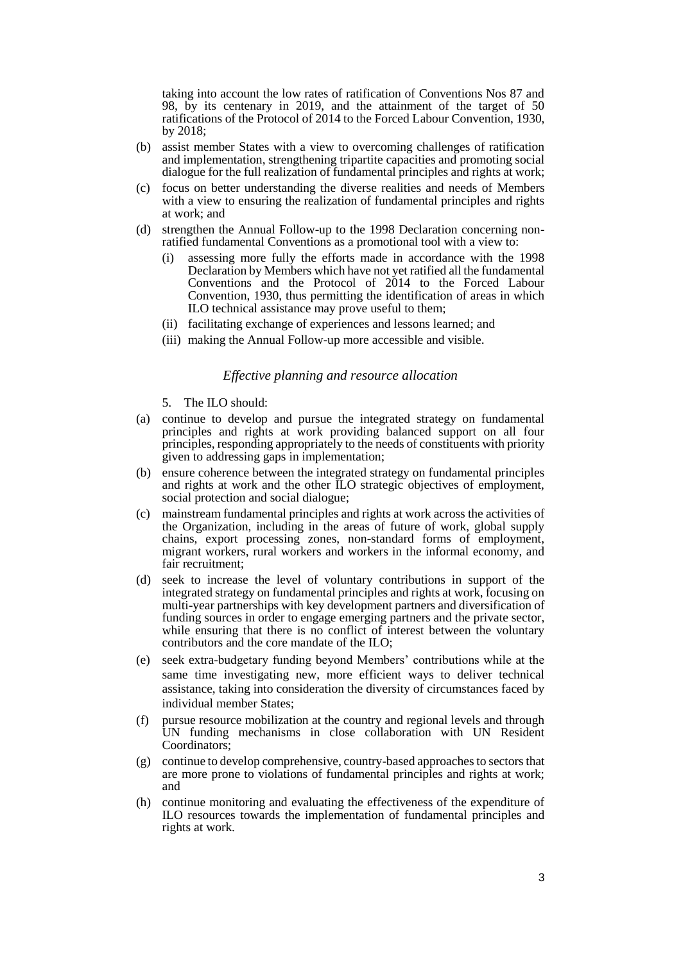taking into account the low rates of ratification of Conventions Nos 87 and 98, by its centenary in 2019, and the attainment of the target of 50 ratifications of the Protocol of 2014 to the Forced Labour Convention, 1930, by 2018;

- (b) assist member States with a view to overcoming challenges of ratification and implementation, strengthening tripartite capacities and promoting social dialogue for the full realization of fundamental principles and rights at work;
- (c) focus on better understanding the diverse realities and needs of Members with a view to ensuring the realization of fundamental principles and rights at work; and
- (d) strengthen the Annual Follow-up to the 1998 Declaration concerning nonratified fundamental Conventions as a promotional tool with a view to:
	- (i) assessing more fully the efforts made in accordance with the 1998 Declaration by Members which have not yet ratified all the fundamental Conventions and the Protocol of 2014 to the Forced Labour Convention, 1930, thus permitting the identification of areas in which ILO technical assistance may prove useful to them;
	- (ii) facilitating exchange of experiences and lessons learned; and
	- (iii) making the Annual Follow-up more accessible and visible.

### *Effective planning and resource allocation*

- 5. The ILO should:
- (a) continue to develop and pursue the integrated strategy on fundamental principles and rights at work providing balanced support on all four principles, responding appropriately to the needs of constituents with priority given to addressing gaps in implementation;
- (b) ensure coherence between the integrated strategy on fundamental principles and rights at work and the other ILO strategic objectives of employment, social protection and social dialogue;
- (c) mainstream fundamental principles and rights at work across the activities of the Organization, including in the areas of future of work, global supply chains, export processing zones, non-standard forms of employment, migrant workers, rural workers and workers in the informal economy, and fair recruitment;
- (d) seek to increase the level of voluntary contributions in support of the integrated strategy on fundamental principles and rights at work, focusing on multi-year partnerships with key development partners and diversification of funding sources in order to engage emerging partners and the private sector, while ensuring that there is no conflict of interest between the voluntary contributors and the core mandate of the ILO;
- (e) seek extra-budgetary funding beyond Members' contributions while at the same time investigating new, more efficient ways to deliver technical assistance, taking into consideration the diversity of circumstances faced by individual member States;
- (f) pursue resource mobilization at the country and regional levels and through UN funding mechanisms in close collaboration with UN Resident Coordinators;
- (g) continue to develop comprehensive, country-based approaches to sectors that are more prone to violations of fundamental principles and rights at work; and
- (h) continue monitoring and evaluating the effectiveness of the expenditure of ILO resources towards the implementation of fundamental principles and rights at work.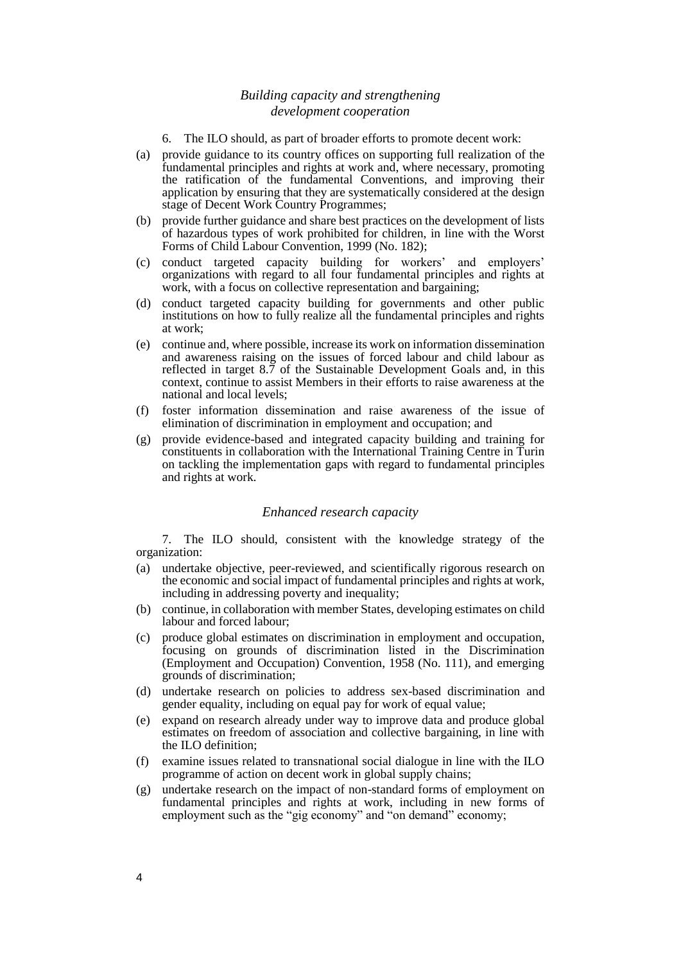# *Building capacity and strengthening development cooperation*

- 6. The ILO should, as part of broader efforts to promote decent work:
- (a) provide guidance to its country offices on supporting full realization of the fundamental principles and rights at work and, where necessary, promoting the ratification of the fundamental Conventions, and improving their application by ensuring that they are systematically considered at the design stage of Decent Work Country Programmes;
- (b) provide further guidance and share best practices on the development of lists of hazardous types of work prohibited for children, in line with the Worst Forms of Child Labour Convention, 1999 (No. 182);
- (c) conduct targeted capacity building for workers' and employers' organizations with regard to all four fundamental principles and rights at work, with a focus on collective representation and bargaining;
- (d) conduct targeted capacity building for governments and other public institutions on how to fully realize all the fundamental principles and rights at work;
- (e) continue and, where possible, increase its work on information dissemination and awareness raising on the issues of forced labour and child labour as reflected in target 8.7 of the Sustainable Development Goals and, in this context, continue to assist Members in their efforts to raise awareness at the national and local levels;
- (f) foster information dissemination and raise awareness of the issue of elimination of discrimination in employment and occupation; and
- (g) provide evidence-based and integrated capacity building and training for constituents in collaboration with the International Training Centre in Turin on tackling the implementation gaps with regard to fundamental principles and rights at work.

#### *Enhanced research capacity*

7. The ILO should, consistent with the knowledge strategy of the organization:

- (a) undertake objective, peer-reviewed, and scientifically rigorous research on the economic and social impact of fundamental principles and rights at work, including in addressing poverty and inequality;
- (b) continue, in collaboration with member States, developing estimates on child labour and forced labour;
- (c) produce global estimates on discrimination in employment and occupation, focusing on grounds of discrimination listed in the Discrimination (Employment and Occupation) Convention, 1958 (No. 111), and emerging grounds of discrimination;
- (d) undertake research on policies to address sex-based discrimination and gender equality, including on equal pay for work of equal value;
- (e) expand on research already under way to improve data and produce global estimates on freedom of association and collective bargaining, in line with the ILO definition;
- (f) examine issues related to transnational social dialogue in line with the ILO programme of action on decent work in global supply chains;
- (g) undertake research on the impact of non-standard forms of employment on fundamental principles and rights at work, including in new forms of employment such as the "gig economy" and "on demand" economy;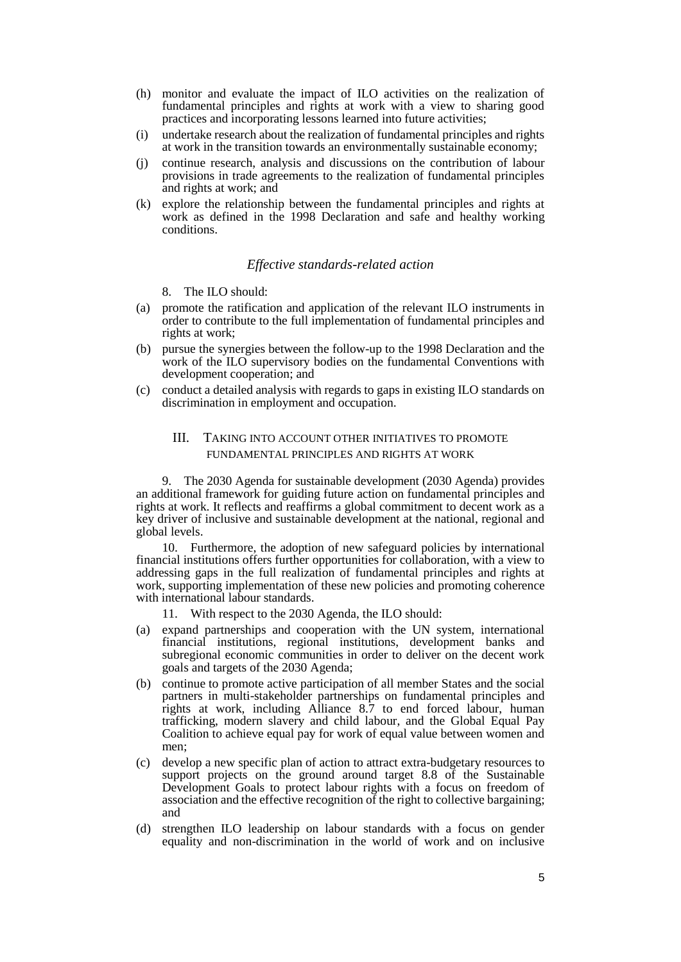- (h) monitor and evaluate the impact of ILO activities on the realization of fundamental principles and rights at work with a view to sharing good practices and incorporating lessons learned into future activities;
- (i) undertake research about the realization of fundamental principles and rights at work in the transition towards an environmentally sustainable economy;
- (j) continue research, analysis and discussions on the contribution of labour provisions in trade agreements to the realization of fundamental principles and rights at work; and
- (k) explore the relationship between the fundamental principles and rights at work as defined in the 1998 Declaration and safe and healthy working conditions.

#### *Effective standards-related action*

- 8. The ILO should:
- (a) promote the ratification and application of the relevant ILO instruments in order to contribute to the full implementation of fundamental principles and rights at work;
- (b) pursue the synergies between the follow-up to the 1998 Declaration and the work of the ILO supervisory bodies on the fundamental Conventions with development cooperation; and
- (c) conduct a detailed analysis with regards to gaps in existing ILO standards on discrimination in employment and occupation.

# III. TAKING INTO ACCOUNT OTHER INITIATIVES TO PROMOTE FUNDAMENTAL PRINCIPLES AND RIGHTS AT WORK

9. The 2030 Agenda for sustainable development (2030 Agenda) provides an additional framework for guiding future action on fundamental principles and rights at work. It reflects and reaffirms a global commitment to decent work as a key driver of inclusive and sustainable development at the national, regional and global levels.

10. Furthermore, the adoption of new safeguard policies by international financial institutions offers further opportunities for collaboration, with a view to addressing gaps in the full realization of fundamental principles and rights at work, supporting implementation of these new policies and promoting coherence with international labour standards.

- With respect to the 2030 Agenda, the ILO should:
- (a) expand partnerships and cooperation with the UN system, international financial institutions, regional institutions, development banks and subregional economic communities in order to deliver on the decent work goals and targets of the 2030 Agenda;
- (b) continue to promote active participation of all member States and the social partners in multi-stakeholder partnerships on fundamental principles and rights at work, including Alliance 8.7 to end forced labour, human trafficking, modern slavery and child labour, and the Global Equal Pay Coalition to achieve equal pay for work of equal value between women and men;
- (c) develop a new specific plan of action to attract extra-budgetary resources to support projects on the ground around target 8.8 of the Sustainable Development Goals to protect labour rights with a focus on freedom of association and the effective recognition of the right to collective bargaining; and
- (d) strengthen ILO leadership on labour standards with a focus on gender equality and non-discrimination in the world of work and on inclusive